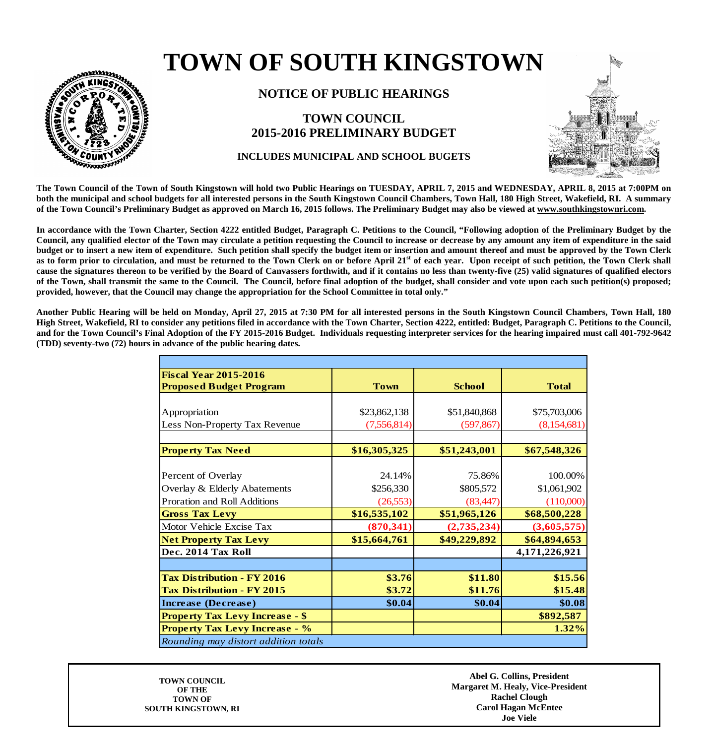# **TOWN OF SOUTH KINGSTOWN**

## **NOTICE OF PUBLIC HEARINGS**

# **TOWN COUNCIL 2015-2016 PRELIMINARY BUDGET**

**INCLUDES MUNICIPAL AND SCHOOL BUGETS**

**The Town Council of the Town of South Kingstown will hold two Public Hearings on TUESDAY, APRIL 7, 2015 and WEDNESDAY, APRIL 8, 2015 at 7:00PM on both the municipal and school budgets for all interested persons in the South Kingstown Council Chambers, Town Hall, 180 High Street, Wakefield, RI. A summary of the Town Council's Preliminary Budget as approved on March 16, 2015 follows. The Preliminary Budget may also be viewed at www.southkingstownri.com.**

**In accordance with the Town Charter, Section 4222 entitled Budget, Paragraph C. Petitions to the Council, "Following adoption of the Preliminary Budget by the Council, any qualified elector of the Town may circulate a petition requesting the Council to increase or decrease by any amount any item of expenditure in the said budget or to insert a new item of expenditure. Such petition shall specify the budget item or insertion and amount thereof and must be approved by the Town Clerk as to form prior to circulation, and must be returned to the Town Clerk on or before April 21st of each year. Upon receipt of such petition, the Town Clerk shall cause the signatures thereon to be verified by the Board of Canvassers forthwith, and if it contains no less than twenty-five (25) valid signatures of qualified electors of the Town, shall transmit the same to the Council. The Council, before final adoption of the budget, shall consider and vote upon each such petition(s) proposed; provided, however, that the Council may change the appropriation for the School Committee in total only."**

**Another Public Hearing will be held on Monday, April 27, 2015 at 7:30 PM for all interested persons in the South Kingstown Council Chambers, Town Hall, 180 High Street, Wakefield, RI to consider any petitions filed in accordance with the Town Charter, Section 4222, entitled: Budget, Paragraph C. Petitions to the Council, and for the Town Council's Final Adoption of the FY 2015-2016 Budget. Individuals requesting interpreter services for the hearing impaired must call 401-792-9642 (TDD) seventy-two (72) hours in advance of the public hearing dates.**

| <b>Town</b>  | <b>School</b> | <b>Total</b>  |
|--------------|---------------|---------------|
|              |               |               |
| \$23,862,138 | \$51,840,868  | \$75,703,006  |
| (7,556,814)  | (597, 867)    | (8,154,681)   |
|              |               |               |
|              | \$51,243,001  | \$67,548,326  |
|              |               |               |
| 24.14%       | 75.86%        | 100.00%       |
| \$256,330    | \$805,572     | \$1,061,902   |
| (26, 553)    | (83, 447)     | (110,000)     |
| \$16,535,102 | \$51,965,126  | \$68,500,228  |
| (870, 341)   | (2,735,234)   | (3,605,575)   |
| \$15,664,761 | \$49,229,892  | \$64,894,653  |
|              |               | 4,171,226,921 |
|              |               |               |
| \$3.76       | \$11.80       | \$15.56       |
| \$3.72       | \$11.76       | \$15.48       |
| \$0.04       | \$0.04        | \$0.08        |
|              |               | \$892,587     |
|              |               | 1.32%         |
|              |               |               |
|              | \$16,305,325  |               |

**TOWN COUNCIL OF THE TOWN OF SOUTH KINGSTOWN, RI**

**Abel G. Collins, President Margaret M. Healy, Vice-President Rachel Clough Carol Hagan McEntee Joe Viele**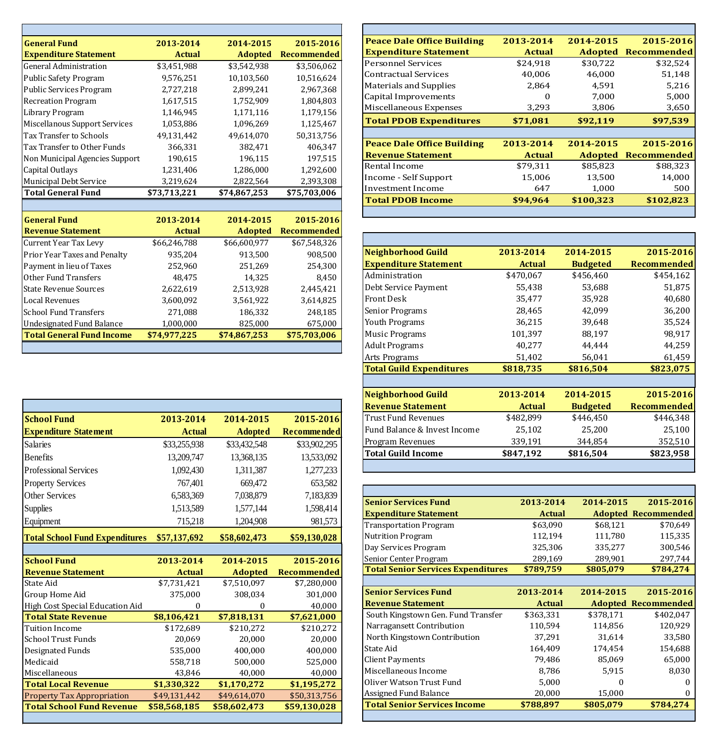| <b>General Fund</b>                  | 2013-2014     | 2014-2015      | 2015-2016          |
|--------------------------------------|---------------|----------------|--------------------|
| <b>Expenditure Statement</b>         | <b>Actual</b> | <b>Adopted</b> | <b>Recommended</b> |
| <b>General Administration</b>        | \$3,451,988   | \$3,542,938    | \$3,506,062        |
| <b>Public Safety Program</b>         | 9,576,251     | 10,103,560     | 10,516,624         |
| <b>Public Services Program</b>       | 2,727,218     | 2,899,241      | 2,967,368          |
| <b>Recreation Program</b>            | 1,617,515     | 1,752,909      | 1,804,803          |
| Library Program                      | 1,146,945     | 1,171,116      | 1,179,156          |
| <b>Miscellanous Support Services</b> | 1,053,886     | 1,096,269      | 1,125,467          |
| Tax Transfer to Schools              | 49,131,442    | 49,614,070     | 50,313,756         |
| Tax Transfer to Other Funds          | 366,331       | 382,471        | 406,347            |
| Non Municipal Agencies Support       | 190,615       | 196,115        | 197,515            |
| Capital Outlays                      | 1,231,406     | 1,286,000      | 1,292,600          |
| Municipal Debt Service               | 3,219,624     | 2,822,564      | 2,393,308          |
| Total General Fund                   | \$73,713,221  | \$74,867,253   | \$75,703,006       |
|                                      |               |                |                    |
| <b>General Fund</b>                  | 2013-2014     | 2014-2015      | 2015-2016          |
| <b>Revenue Statement</b>             | <b>Actual</b> | <b>Adopted</b> | <b>Recommended</b> |
| Current Year Tax Levy                | \$66,246,788  | \$66,600,977   | \$67,548,326       |
| Prior Year Taxes and Penalty         | 935,204       | 913,500        | 908,500            |
| Payment in lieu of Taxes             | 252,960       | 251,269        | 254,300            |
| <b>Other Fund Transfers</b>          | 48,475        | 14,325         | 8,450              |
| <b>State Revenue Sources</b>         | 2,622,619     | 2,513,928      | 2,445,421          |
|                                      |               |                |                    |
| <b>Local Revenues</b>                | 3,600,092     | 3,561,922      | 3,614,825          |
| <b>School Fund Transfers</b>         | 271,088       | 186,332        | 248,185            |
| <b>Undesignated Fund Balance</b>     | 1,000,000     | 825,000        | 675,000            |
| <b>Total General Fund Income</b>     | \$74,977,225  | \$74,867,253   | \$75,703,006       |

| <b>School Fund</b>                    | 2013-2014     | 2014-2015      | 2015-2016          |
|---------------------------------------|---------------|----------------|--------------------|
| <b>Expenditure Statement</b>          | <b>Actual</b> | <b>Adopted</b> | <b>Recommended</b> |
| <b>Salaries</b>                       | \$33,255,938  | \$33,432,548   | \$33,902,295       |
| <b>Benefits</b>                       | 13,209,747    | 13,368,135     | 13,533,092         |
| <b>Professional Services</b>          | 1,092,430     | 1,311,387      | 1,277,233          |
| <b>Property Services</b>              | 767,401       | 669,472        | 653,582            |
| <b>Other Services</b>                 | 6,583,369     | 7,038,879      | 7,183,839          |
| <b>Supplies</b>                       | 1,513,589     | 1,577,144      | 1,598,414          |
| Equipment                             | 715,218       | 1,204,908      | 981,573            |
| <b>Total School Fund Expenditures</b> | \$57,137,692  | \$58,602,473   | \$59,130,028       |
|                                       |               |                |                    |
| <b>School Fund</b>                    | 2013-2014     | 2014-2015      | 2015-2016          |
| <b>Revenue Statement</b>              | <b>Actual</b> | <b>Adopted</b> | <b>Recommended</b> |
| State Aid                             | \$7,731,421   | \$7,510,097    | \$7,280,000        |
| Group Home Aid                        | 375,000       | 308,034        | 301,000            |
| High Cost Special Education Aid       | 0             | 0              | 40,000             |
| <b>Total State Revenue</b>            | \$8,106,421   | \$7,818,131    | \$7,621,000        |
| <b>Tuition Income</b>                 | \$172,689     | \$210,272      | \$210,272          |
| <b>School Trust Funds</b>             | 20,069        | 20,000         | 20,000             |
| Designated Funds                      | 535,000       | 400,000        | 400,000            |
| Medicaid                              | 558,718       | 500,000        | 525,000            |
| Miscellaneous                         | 43,846        | 40,000         | 40,000             |
| <b>Total Local Revenue</b>            | \$1,330,322   | \$1,170,272    | \$1,195,272        |
| <b>Property Tax Appropriation</b>     | \$49,131,442  | \$49,614,070   | \$50,313,756       |
| <b>Total School Fund Revenue</b>      | \$58,568,185  | \$58,602,473   | \$59,130,028       |

| <b>Peace Dale Office Building</b> | 2013-2014     | 2014-2015      | 2015-2016          |
|-----------------------------------|---------------|----------------|--------------------|
| <b>Expenditure Statement</b>      | <b>Actual</b> | <b>Adopted</b> | <b>Recommended</b> |
| <b>Personnel Services</b>         | \$24,918      | \$30,722       | \$32,524           |
| <b>Contractual Services</b>       | 40,006        | 46,000         | 51,148             |
| <b>Materials and Supplies</b>     | 2.864         | 4,591          | 5,216              |
| Capital Improvements              | O             | 7,000          | 5,000              |
| Miscellaneous Expenses            | 3.293         | 3,806          | 3,650              |
| <b>Total PDOB Expenditures</b>    | \$71,081      | \$92,119       | \$97,539           |
|                                   |               |                |                    |
| <b>Peace Dale Office Building</b> | 2013-2014     | 2014-2015      | 2015-2016          |
| <b>Revenue Statement</b>          | <b>Actual</b> | <b>Adopted</b> | <b>Recommended</b> |
| Rental Income                     | \$79,311      | \$85,823       | \$88,323           |
| Income - Self Support             | 15,006        | 13,500         | 14,000             |
| <b>Investment Income</b>          | 647           | 1,000          | 500                |
| <b>Total PDOB Income</b>          | \$94,964      | \$100,323      | \$102,823          |
|                                   |               |                |                    |

| <b>Neighborhood Guild</b>       | 2013-2014     | 2014-2015       | 2015-2016          |
|---------------------------------|---------------|-----------------|--------------------|
| <b>Expenditure Statement</b>    | <b>Actual</b> | <b>Budgeted</b> | <b>Recommended</b> |
| Administration                  | \$470,067     | \$456,460       | \$454,162          |
| Debt Service Payment            | 55,438        | 53,688          | 51,875             |
| <b>Front Desk</b>               | 35,477        | 35,928          | 40,680             |
| <b>Senior Programs</b>          | 28,465        | 42,099          | 36,200             |
| <b>Youth Programs</b>           | 36,215        | 39,648          | 35,524             |
| Music Programs                  | 101,397       | 88,197          | 98,917             |
| <b>Adult Programs</b>           | 40,277        | 44,444          | 44,259             |
| Arts Programs                   | 51,402        | 56,041          | 61,459             |
| <b>Total Guild Expenditures</b> | \$818,735     | \$816,504       | \$823,075          |
|                                 |               |                 |                    |
| <b>Neighborhood Guild</b>       | 2013-2014     | 2014-2015       | 2015-2016          |
| <b>Revenue Statement</b>        | <b>Actual</b> | <b>Budgeted</b> | <b>Recommended</b> |
| <b>Trust Fund Revenues</b>      | \$482,899     | \$446,450       | \$446,348          |
| Fund Balance & Invest Income    | 25,102        | 25,200          | 25,100             |
| Program Revenues                | 339,191       | 344,854         | 352,510            |
| <b>Total Guild Income</b>       | \$847,192     | \$816,504       | \$823,958          |
|                                 |               |                 |                    |

| <b>Senior Services Fund</b>               | 2013-2014     | 2014-2015 | 2015-2016                  |
|-------------------------------------------|---------------|-----------|----------------------------|
| <b>Expenditure Statement</b>              | Actual        |           | <b>Adopted Recommended</b> |
| <b>Transportation Program</b>             | \$63,090      | \$68,121  | \$70,649                   |
| <b>Nutrition Program</b>                  | 112,194       | 111,780   | 115,335                    |
| Day Services Program                      | 325,306       | 335,277   | 300,546                    |
| Senior Center Program                     | 289,169       | 289,901   | 297,744                    |
| <b>Total Senior Services Expenditures</b> | \$789,759     | \$805,079 | \$784,274                  |
|                                           |               |           |                            |
| <b>Senior Services Fund</b>               | 2013-2014     | 2014-2015 | 2015-2016                  |
| <b>Revenue Statement</b>                  | <b>Actual</b> |           | <b>Adopted Recommended</b> |
| South Kingstown Gen. Fund Transfer        | \$363,331     | \$378,171 | \$402,047                  |
| Narragansett Contribution                 | 110,594       | 114,856   | 120,929                    |
| North Kingstown Contribution              | 37,291        | 31,614    | 33,580                     |
| State Aid                                 | 164,409       | 174,454   | 154,688                    |
| Client Payments                           | 79,486        | 85,069    | 65,000                     |
| Miscellaneous Income                      | 8,786         | 5,915     | 8,030                      |
| Oliver Watson Trust Fund                  | 5,000         | $\theta$  | $\theta$                   |
| Assigned Fund Balance                     | 20,000        | 15,000    | $\theta$                   |
| <b>Total Senior Services Income</b>       | \$788,897     | \$805,079 | \$784,274                  |
|                                           |               |           |                            |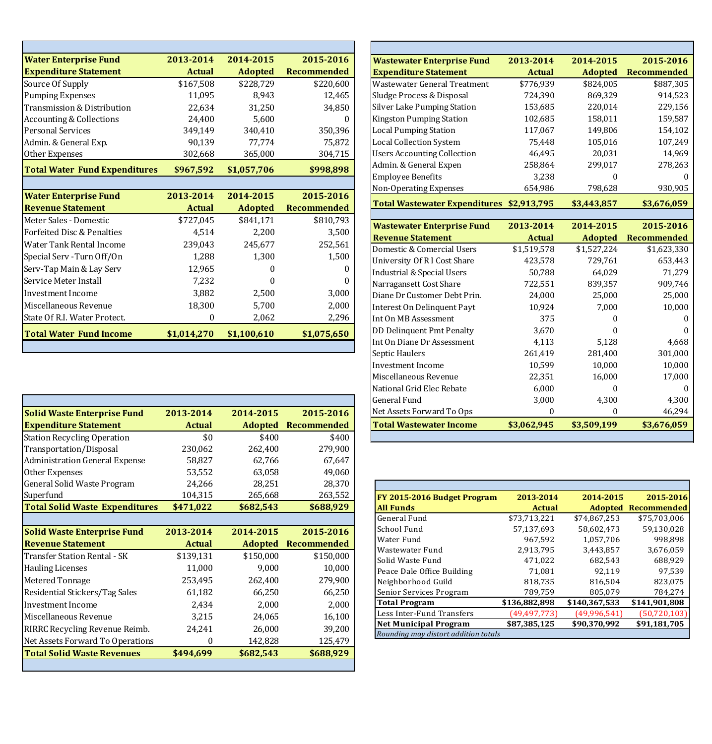| <b>Water Enterprise Fund</b>         | 2013-2014     | 2014-2015      | 2015-2016          | <b>Wastewater Enterprise Fund</b>         | 2013-2014     | 2014-2015      | 2015-2016   |
|--------------------------------------|---------------|----------------|--------------------|-------------------------------------------|---------------|----------------|-------------|
| <b>Expenditure Statement</b>         | <b>Actual</b> | <b>Adopted</b> | <b>Recommended</b> | <b>Expenditure Statement</b>              | <b>Actual</b> | <b>Adopted</b> | Recommended |
| Source Of Supply                     | \$167,508     | \$228,729      | \$220,600          | <b>Wastewater General Treatment</b>       | \$776,939     | \$824,005      | \$887,305   |
| <b>Pumping Expenses</b>              | 11,095        | 8,943          | 12,465             | Sludge Process & Disposal                 | 724,390       | 869,329        |             |
| Transmission & Distribution          | 22,634        | 31,250         | 34,850             | Silver Lake Pumping Station               | 153,685       | 220,014        |             |
| <b>Accounting &amp; Collections</b>  | 24,400        | 5,600          | 0                  | Kingston Pumping Station                  | 102,685       | 158,011        |             |
| <b>Personal Services</b>             | 349,149       | 340,410        | 350,396            | <b>Local Pumping Station</b>              | 117,067       | 149,806        |             |
| Admin. & General Exp.                | 90,139        | 77,774         | 75,872             | <b>Local Collection System</b>            | 75,448        | 105,016        |             |
| Other Expenses                       | 302,668       | 365,000        | 304,715            | <b>Users Accounting Collection</b>        | 46,495        | 20,031         |             |
| <b>Total Water Fund Expenditures</b> | \$967,592     | \$1,057,706    | \$998,898          | Admin. & General Expen                    | 258,864       | 299,017        |             |
|                                      |               |                |                    | <b>Employee Benefits</b>                  | 3,238         |                |             |
|                                      |               |                |                    | Non-Operating Expenses                    | 654,986       | 798,628        |             |
| <b>Water Enterprise Fund</b>         | 2013-2014     | 2014-2015      | 2015-2016          | Total Wastewater Expenditures \$2,913,795 |               | \$3,443,857    | \$3,676,059 |
| <b>Revenue Statement</b>             | <b>Actual</b> | <b>Adopted</b> | <b>Recommended</b> |                                           |               |                |             |
| Meter Sales - Domestic               | \$727,045     | \$841,171      | \$810,793          | <b>Wastewater Enterprise Fund</b>         | 2013-2014     | 2014-2015      | 2015-2016   |
| Forfeited Disc & Penalties           | 4,514         | 2,200          | 3,500              | <b>Revenue Statement</b>                  | <b>Actual</b> | <b>Adopted</b> | Recommended |
| <b>Water Tank Rental Income</b>      | 239,043       | 245,677        | 252,561            | Domestic & Comercial Users                | \$1,519,578   | \$1,527,224    | \$1,623,330 |
| Special Serv - Turn Off/On           | 1,288         | 1,300          | 1,500              | University Of RI Cost Share               | 423,578       | 729,761        |             |
| Serv-Tap Main & Lay Serv             | 12,965        | $\theta$       | 0                  | <b>Industrial &amp; Special Users</b>     | 50,788        | 64,029         |             |
| Service Meter Install                | 7,232         |                | $\theta$           | Narragansett Cost Share                   | 722,551       | 839,357        |             |
| Investment Income                    | 3,882         | 2,500          | 3,000              | Diane Dr Customer Debt Prin.              | 24,000        | 25,000         |             |
| Miscellaneous Revenue                | 18,300        | 5,700          | 2,000              | Interest On Delinquent Payt               | 10,924        | 7,000          |             |
| State Of R.I. Water Protect.         |               | 2,062          | 2,296              | Int On MB Assessment                      | 375           |                |             |
| <b>Total Water Fund Income</b>       | \$1,014,270   | \$1,100,610    | \$1,075,650        | DD Delinquent Pmt Penalty                 | 3,670         |                |             |
|                                      |               |                |                    | Int On Diane Dr Assessment                | 4,113         | 5,128          |             |

| <b>Solid Waste Enterprise Fund</b>    | 2013-2014     | 2014-2015      | 2015-2016          |
|---------------------------------------|---------------|----------------|--------------------|
| <b>Expenditure Statement</b>          | <b>Actual</b> | <b>Adopted</b> | <b>Recommended</b> |
| <b>Station Recycling Operation</b>    | \$0           | \$400          | \$400              |
| Transportation/Disposal               | 230,062       | 262,400        | 279,900            |
| <b>Administration General Expense</b> | 58,827        | 62,766         | 67,647             |
| Other Expenses                        | 53,552        | 63,058         | 49,060             |
| General Solid Waste Program           | 24,266        | 28,251         | 28,370             |
| Superfund                             | 104,315       | 265,668        | 263,552            |
| <b>Total Solid Waste Expenditures</b> | \$471,022     | \$682,543      | \$688,929          |
|                                       |               |                |                    |
| <b>Solid Waste Enterprise Fund</b>    | 2013-2014     | 2014-2015      | 2015-2016          |
| <b>Revenue Statement</b>              | <b>Actual</b> | <b>Adopted</b> | <b>Recommended</b> |
| Transfer Station Rental - SK          | \$139,131     | \$150,000      | \$150,000          |
| <b>Hauling Licenses</b>               | 11,000        | 9,000          | 10,000             |
| Metered Tonnage                       | 253,495       | 262,400        | 279,900            |
| Residential Stickers/Tag Sales        | 61,182        | 66,250         | 66,250             |
| Investment Income                     | 2,434         | 2,000          | 2,000              |
| Miscellaneous Revenue                 | 3,215         | 24,065         | 16,100             |
| <b>RIRRC Recycling Revenue Reimb.</b> | 24,241        | 26,000         | 39,200             |
| Net Assets Forward To Operations      | $\theta$      | 142,828        | 125,479            |
| <b>Total Solid Waste Revenues</b>     | \$494,699     | \$682,543      | \$688,929          |
|                                       |               |                |                    |

| <b>Wastewater Enterprise Fund</b>         | 2013-2014     | 2014-2015        | 2015-2016          |
|-------------------------------------------|---------------|------------------|--------------------|
| <b>Expenditure Statement</b>              | <b>Actual</b> | <b>Adopted</b>   | <b>Recommended</b> |
| Wastewater General Treatment              | \$776,939     | \$824,005        | \$887,305          |
| Sludge Process & Disposal                 | 724,390       | 869,329          | 914,523            |
| <b>Silver Lake Pumping Station</b>        | 153,685       | 220,014          | 229,156            |
| Kingston Pumping Station                  | 102,685       | 158,011          | 159,587            |
| <b>Local Pumping Station</b>              | 117,067       | 149,806          | 154,102            |
| <b>Local Collection System</b>            | 75,448        | 105,016          | 107,249            |
| <b>Users Accounting Collection</b>        | 46,495        | 20,031           | 14,969             |
| Admin. & General Expen                    | 258,864       | 299,017          | 278,263            |
| <b>Employee Benefits</b>                  | 3,238         | 0                |                    |
| Non-Operating Expenses                    | 654,986       | 798,628          | 930,905            |
| Total Wastewater Expenditures \$2,913,795 |               | \$3,443,857      | \$3,676,059        |
|                                           |               |                  |                    |
| <b>Wastewater Enterprise Fund</b>         | 2013-2014     | 2014-2015        | 2015-2016          |
| <b>Revenue Statement</b>                  | <b>Actual</b> | <b>Adopted</b>   | <b>Recommended</b> |
| Domestic & Comercial Users                | \$1,519,578   | \$1,527,224      | \$1,623,330        |
| University Of R I Cost Share              | 423,578       | 729,761          | 653,443            |
| <b>Industrial &amp; Special Users</b>     | 50,788        | 64,029           | 71,279             |
| Narragansett Cost Share                   | 722,551       | 839,357          | 909,746            |
| Diane Dr Customer Debt Prin.              | 24,000        | 25,000           | 25,000             |
| Interest On Delinquent Payt               | 10,924        | 7,000            | 10,000             |
| Int On MB Assessment                      | 375           | 0                | 0                  |
| <b>DD Delinquent Pmt Penalty</b>          | 3,670         | $\boldsymbol{0}$ | 0                  |
| Int On Diane Dr Assessment                | 4,113         | 5,128            | 4,668              |
| Septic Haulers                            | 261,419       | 281,400          | 301,000            |
| <b>Investment Income</b>                  | 10,599        | 10,000           | 10,000             |
| Miscellaneous Revenue                     | 22,351        | 16,000           | 17,000             |
| National Grid Elec Rebate                 | 6,000         | 0                | 0                  |
|                                           |               |                  |                    |
| <b>General Fund</b>                       | 3,000         | 4,300            | 4,300              |
| Net Assets Forward To Ops                 | 0             | 0                | 46,294             |

| FY 2015-2016 Budget Program          | 2013-2014     | 2014-2015     | 2015-2016                  |
|--------------------------------------|---------------|---------------|----------------------------|
| <b>All Funds</b>                     | <b>Actual</b> |               | <b>Adopted Recommended</b> |
| General Fund                         | \$73,713,221  | \$74.867.253  | \$75.703.006               |
| School Fund                          | 57.137.693    | 58.602.473    | 59.130.028                 |
| Water Fund                           | 967,592       | 1.057.706     | 998,898                    |
| Wastewater Fund                      | 2.913.795     | 3.443.857     | 3.676.059                  |
| Solid Waste Fund                     | 471.022       | 682.543       | 688,929                    |
| Peace Dale Office Building           | 71.081        | 92.119        | 97.539                     |
| Neighborhood Guild                   | 818.735       | 816.504       | 823.075                    |
| Senior Services Program              | 789.759       | 805.079       | 784.274                    |
| <b>Total Program</b>                 | \$136,882,898 | \$140,367,533 | \$141,901,808              |
| Less Inter-Fund Transfers            | (49,497,773)  | (49,996,541)  | (50, 720, 103)             |
| <b>Net Municipal Program</b>         | \$87,385,125  | \$90,370,992  | \$91,181,705               |
| Rounding may distort addition totals |               |               |                            |